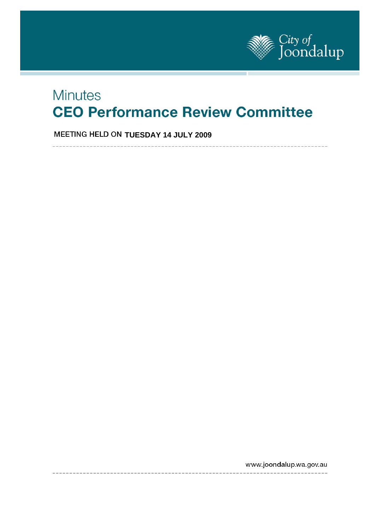

# **Minutes CEO Performance Review Committee**

**MEETING HELD ON TUESDAY 14 JULY 2009** 

-------------------

www.joondalup.wa.gov.au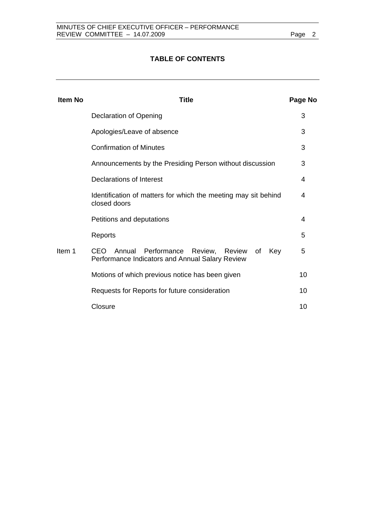## **TABLE OF CONTENTS**

| <b>Item No</b> | <b>Title</b>                                                                                                   |    |  |  |  |
|----------------|----------------------------------------------------------------------------------------------------------------|----|--|--|--|
|                | Declaration of Opening                                                                                         |    |  |  |  |
|                | Apologies/Leave of absence                                                                                     | 3  |  |  |  |
|                | <b>Confirmation of Minutes</b>                                                                                 | 3  |  |  |  |
|                | Announcements by the Presiding Person without discussion                                                       |    |  |  |  |
|                | Declarations of Interest                                                                                       | 4  |  |  |  |
|                | Identification of matters for which the meeting may sit behind<br>closed doors                                 |    |  |  |  |
|                | Petitions and deputations                                                                                      | 4  |  |  |  |
|                | Reports                                                                                                        | 5  |  |  |  |
| Item 1         | CEO<br>Annual Performance<br>Review,<br>Review<br>Key<br>of<br>Performance Indicators and Annual Salary Review | 5  |  |  |  |
|                | Motions of which previous notice has been given                                                                | 10 |  |  |  |
|                | Requests for Reports for future consideration                                                                  | 10 |  |  |  |
|                | Closure                                                                                                        | 10 |  |  |  |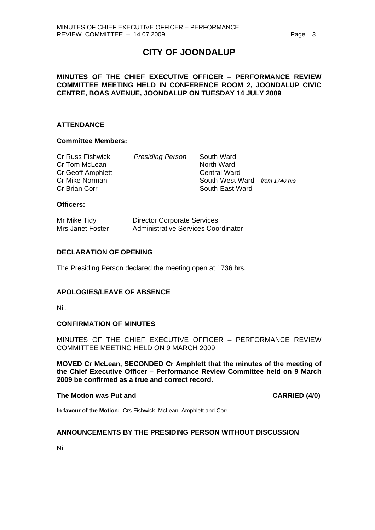## **CITY OF JOONDALUP**

## **MINUTES OF THE CHIEF EXECUTIVE OFFICER – PERFORMANCE REVIEW COMMITTEE MEETING HELD IN CONFERENCE ROOM 2, JOONDALUP CIVIC CENTRE, BOAS AVENUE, JOONDALUP ON TUESDAY 14 JULY 2009**

## **ATTENDANCE**

## **Committee Members:**

| Cr Russ Fishwick  | <b>Presiding Person</b> | South Ward                    |  |
|-------------------|-------------------------|-------------------------------|--|
| Cr Tom McLean     |                         | North Ward                    |  |
| Cr Geoff Amphlett |                         | <b>Central Ward</b>           |  |
| Cr Mike Norman    |                         | South-West Ward from 1740 hrs |  |
| Cr Brian Corr     |                         | South-East Ward               |  |
|                   |                         |                               |  |

## **Officers:**

| Mr Mike Tidy     | <b>Director Corporate Services</b>  |
|------------------|-------------------------------------|
| Mrs Janet Foster | Administrative Services Coordinator |

## **DECLARATION OF OPENING**

The Presiding Person declared the meeting open at 1736 hrs.

## **APOLOGIES/LEAVE OF ABSENCE**

Nil.

## **CONFIRMATION OF MINUTES**

MINUTES OF THE CHIEF EXECUTIVE OFFICER – PERFORMANCE REVIEW COMMITTEE MEETING HELD ON 9 MARCH 2009

**MOVED Cr McLean, SECONDED Cr Amphlett that the minutes of the meeting of the Chief Executive Officer – Performance Review Committee held on 9 March 2009 be confirmed as a true and correct record.** 

## The Motion was Put and **CARRIED** (4/0)

**In favour of the Motion:** Crs Fishwick, McLean, Amphlett and Corr

## **ANNOUNCEMENTS BY THE PRESIDING PERSON WITHOUT DISCUSSION**

Nil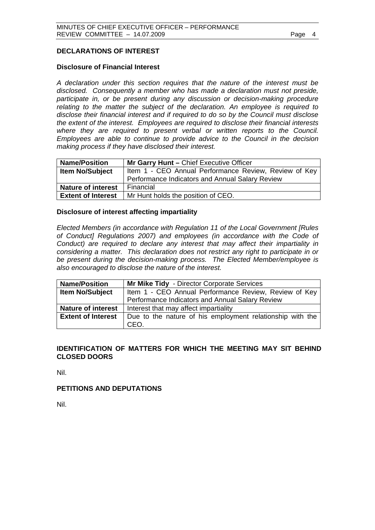## **DECLARATIONS OF INTEREST**

## **Disclosure of Financial Interest**

*A declaration under this section requires that the nature of the interest must be disclosed. Consequently a member who has made a declaration must not preside, participate in, or be present during any discussion or decision-making procedure relating to the matter the subject of the declaration. An employee is required to disclose their financial interest and if required to do so by the Council must disclose the extent of the interest. Employees are required to disclose their financial interests where they are required to present verbal or written reports to the Council. Employees are able to continue to provide advice to the Council in the decision making process if they have disclosed their interest.* 

| <b>Name/Position</b>                                                            | Mr Garry Hunt - Chief Executive Officer         |  |  |  |
|---------------------------------------------------------------------------------|-------------------------------------------------|--|--|--|
| <b>Item No/Subject</b><br>Item 1 - CEO Annual Performance Review, Review of Key |                                                 |  |  |  |
|                                                                                 | Performance Indicators and Annual Salary Review |  |  |  |
| <b>Nature of interest</b>                                                       | Financial                                       |  |  |  |
| <b>Extent of Interest</b>                                                       | Mr Hunt holds the position of CEO.              |  |  |  |

## **Disclosure of interest affecting impartiality**

 *Elected Members (in accordance with Regulation 11 of the Local Government [Rules of Conduct] Regulations 2007) and employees (in accordance with the Code of Conduct) are required to declare any interest that may affect their impartiality in considering a matter. This declaration does not restrict any right to participate in or be present during the decision-making process. The Elected Member/employee is also encouraged to disclose the nature of the interest.* 

| <b>Name/Position</b>      | Mr Mike Tidy - Director Corporate Services                |  |  |  |  |
|---------------------------|-----------------------------------------------------------|--|--|--|--|
| <b>Item No/Subject</b>    | Item 1 - CEO Annual Performance Review, Review of Key     |  |  |  |  |
|                           | Performance Indicators and Annual Salary Review           |  |  |  |  |
| <b>Nature of interest</b> | Interest that may affect impartiality                     |  |  |  |  |
| <b>Extent of Interest</b> | Due to the nature of his employment relationship with the |  |  |  |  |
|                           | CEO.                                                      |  |  |  |  |

## **IDENTIFICATION OF MATTERS FOR WHICH THE MEETING MAY SIT BEHIND CLOSED DOORS**

Nil.

## **PETITIONS AND DEPUTATIONS**

Nil.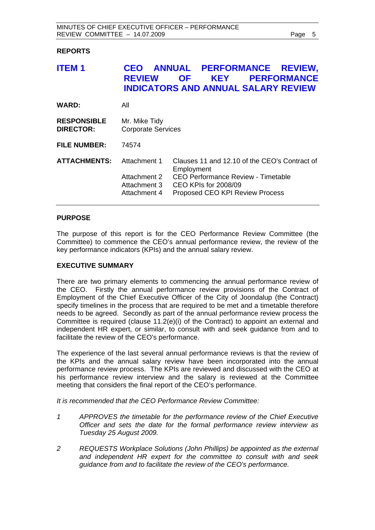## **REPORTS**

| <b>ITEM1</b>                           | <b>CEO</b><br><b>REVIEW</b><br><b>INDICATORS AND ANNUAL SALARY REVIEW</b> | <b>OF</b>  | <b>KEY</b>           |                                                                                                                               | ANNUAL PERFORMANCE REVIEW,<br><b>PERFORMANCE</b> |
|----------------------------------------|---------------------------------------------------------------------------|------------|----------------------|-------------------------------------------------------------------------------------------------------------------------------|--------------------------------------------------|
| <b>WARD:</b>                           | All                                                                       |            |                      |                                                                                                                               |                                                  |
| <b>RESPONSIBLE</b><br><b>DIRECTOR:</b> | Mr. Mike Tidy<br><b>Corporate Services</b>                                |            |                      |                                                                                                                               |                                                  |
| <b>FILE NUMBER:</b>                    | 74574                                                                     |            |                      |                                                                                                                               |                                                  |
| <b>ATTACHMENTS:</b>                    | Attachment 1<br>Attachment 2<br>Attachment 3<br>Attachment 4              | Employment | CEO KPIs for 2008/09 | Clauses 11 and 12.10 of the CEO's Contract of<br><b>CEO Performance Review - Timetable</b><br>Proposed CEO KPI Review Process |                                                  |

## **PURPOSE**

The purpose of this report is for the CEO Performance Review Committee (the Committee) to commence the CEO's annual performance review, the review of the key performance indicators (KPIs) and the annual salary review.

## **EXECUTIVE SUMMARY**

There are two primary elements to commencing the annual performance review of the CEO. Firstly the annual performance review provisions of the Contract of Employment of the Chief Executive Officer of the City of Joondalup (the Contract) specify timelines in the process that are required to be met and a timetable therefore needs to be agreed. Secondly as part of the annual performance review process the Committee is required (clause 11.2(e)(i) of the Contract) to appoint an external and independent HR expert, or similar, to consult with and seek guidance from and to facilitate the review of the CEO's performance.

The experience of the last several annual performance reviews is that the review of the KPIs and the annual salary review have been incorporated into the annual performance review process. The KPIs are reviewed and discussed with the CEO at his performance review interview and the salary is reviewed at the Committee meeting that considers the final report of the CEO's performance.

*It is recommended that the CEO Performance Review Committee:* 

- *1 APPROVES the timetable for the performance review of the Chief Executive Officer and sets the date for the formal performance review interview as Tuesday 25 August 2009.*
- *2 REQUESTS Workplace Solutions (John Phillips) be appointed as the external and independent HR expert for the committee to consult with and seek guidance from and to facilitate the review of the CEO's performance.*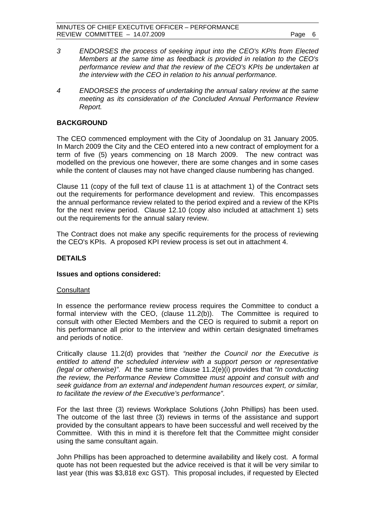- *3 ENDORSES the process of seeking input into the CEO's KPIs from Elected Members at the same time as feedback is provided in relation to the CEO's performance review and that the review of the CEO's KPIs be undertaken at the interview with the CEO in relation to his annual performance.*
- *4 ENDORSES the process of undertaking the annual salary review at the same meeting as its consideration of the Concluded Annual Performance Review Report.*

#### **BACKGROUND**

The CEO commenced employment with the City of Joondalup on 31 January 2005. In March 2009 the City and the CEO entered into a new contract of employment for a term of five (5) years commencing on 18 March 2009. The new contract was modelled on the previous one however, there are some changes and in some cases while the content of clauses may not have changed clause numbering has changed.

Clause 11 (copy of the full text of clause 11 is at attachment 1) of the Contract sets out the requirements for performance development and review. This encompasses the annual performance review related to the period expired and a review of the KPIs for the next review period. Clause 12.10 (copy also included at attachment 1) sets out the requirements for the annual salary review.

The Contract does not make any specific requirements for the process of reviewing the CEO's KPIs.A proposed KPI review process is set out in attachment 4.

#### **DETAILS**

#### **Issues and options considered:**

#### **Consultant**

In essence the performance review process requires the Committee to conduct a formal interview with the CEO, (clause 11.2(b)). The Committee is required to consult with other Elected Members and the CEO is required to submit a report on his performance all prior to the interview and within certain designated timeframes and periods of notice.

Critically clause 11.2(d) provides that *"neither the Council nor the Executive is entitled to attend the scheduled interview with a support person or representative (legal or otherwise)"*. At the same time clause 11.2(e)(i) provides that *"In conducting the review, the Performance Review Committee must appoint and consult with and seek guidance from an external and independent human resources expert, or similar, to facilitate the review of the Executive's performance"*.

For the last three (3) reviews Workplace Solutions (John Phillips) has been used. The outcome of the last three (3) reviews in terms of the assistance and support provided by the consultant appears to have been successful and well received by the Committee. With this in mind it is therefore felt that the Committee might consider using the same consultant again.

John Phillips has been approached to determine availability and likely cost. A formal quote has not been requested but the advice received is that it will be very similar to last year (this was \$3,818 exc GST). This proposal includes, if requested by Elected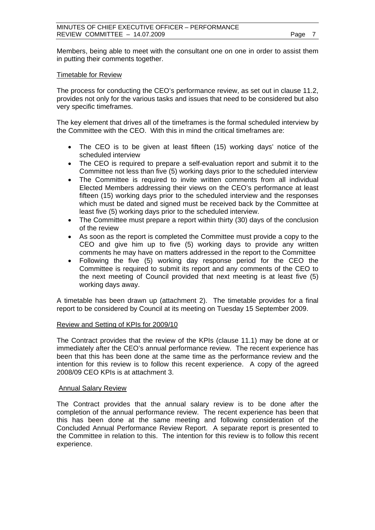Members, being able to meet with the consultant one on one in order to assist them in putting their comments together.

## Timetable for Review

The process for conducting the CEO's performance review, as set out in clause 11.2, provides not only for the various tasks and issues that need to be considered but also very specific timeframes.

The key element that drives all of the timeframes is the formal scheduled interview by the Committee with the CEO. With this in mind the critical timeframes are:

- The CEO is to be given at least fifteen (15) working days' notice of the scheduled interview
- The CEO is required to prepare a self-evaluation report and submit it to the Committee not less than five (5) working days prior to the scheduled interview
- The Committee is required to invite written comments from all individual Elected Members addressing their views on the CEO's performance at least fifteen (15) working days prior to the scheduled interview and the responses which must be dated and signed must be received back by the Committee at least five (5) working days prior to the scheduled interview.
- The Committee must prepare a report within thirty (30) days of the conclusion of the review
- As soon as the report is completed the Committee must provide a copy to the CEO and give him up to five (5) working days to provide any written comments he may have on matters addressed in the report to the Committee
- Following the five (5) working day response period for the CEO the Committee is required to submit its report and any comments of the CEO to the next meeting of Council provided that next meeting is at least five (5) working days away.

A timetable has been drawn up (attachment 2). The timetable provides for a final report to be considered by Council at its meeting on Tuesday 15 September 2009.

## Review and Setting of KPIs for 2009/10

The Contract provides that the review of the KPIs (clause 11.1) may be done at or immediately after the CEO's annual performance review. The recent experience has been that this has been done at the same time as the performance review and the intention for this review is to follow this recent experience. A copy of the agreed 2008/09 CEO KPIs is at attachment 3.

## Annual Salary Review

The Contract provides that the annual salary review is to be done after the completion of the annual performance review. The recent experience has been that this has been done at the same meeting and following consideration of the Concluded Annual Performance Review Report. A separate report is presented to the Committee in relation to this. The intention for this review is to follow this recent experience.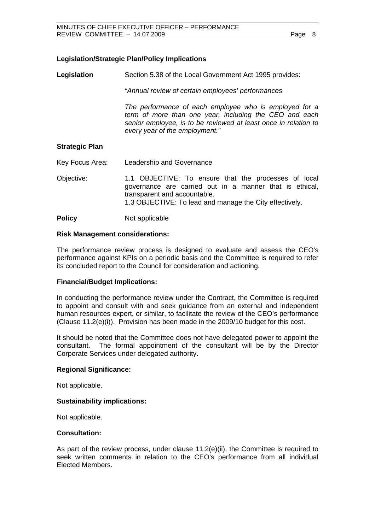## **Legislation/Strategic Plan/Policy Implications**

**Legislation** Section 5.38 of the Local Government Act 1995 provides:

*"Annual review of certain employees' performances* 

*The performance of each employee who is employed for a term of more than one year, including the CEO and each senior employee, is to be reviewed at least once in relation to every year of the employment."* 

## **Strategic Plan**

Key Focus Area: Leadership and Governance

Objective: 1.1 OBJECTIVE: To ensure that the processes of local governance are carried out in a manner that is ethical, transparent and accountable. 1.3 OBJECTIVE: To lead and manage the City effectively.

**Policy** Not applicable

## **Risk Management considerations:**

The performance review process is designed to evaluate and assess the CEO's performance against KPIs on a periodic basis and the Committee is required to refer its concluded report to the Council for consideration and actioning.

## **Financial/Budget Implications:**

In conducting the performance review under the Contract, the Committee is required to appoint and consult with and seek guidance from an external and independent human resources expert, or similar, to facilitate the review of the CEO's performance (Clause 11.2(e)(i)). Provision has been made in the 2009/10 budget for this cost.

It should be noted that the Committee does not have delegated power to appoint the consultant. The formal appointment of the consultant will be by the Director Corporate Services under delegated authority.

## **Regional Significance:**

Not applicable.

## **Sustainability implications:**

Not applicable.

#### **Consultation:**

As part of the review process, under clause  $11.2(e)(ii)$ , the Committee is required to seek written comments in relation to the CEO's performance from all individual Elected Members.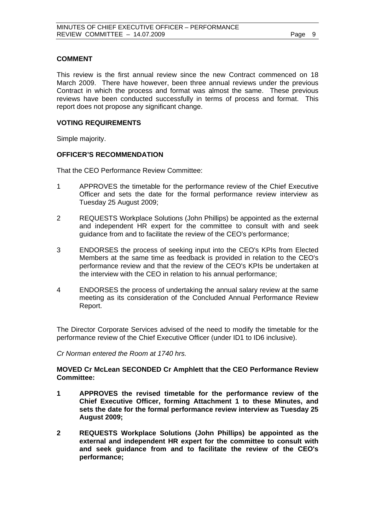## **COMMENT**

This review is the first annual review since the new Contract commenced on 18 March 2009. There have however, been three annual reviews under the previous Contract in which the process and format was almost the same. These previous reviews have been conducted successfully in terms of process and format. This report does not propose any significant change.

## **VOTING REQUIREMENTS**

Simple majority.

## **OFFICER'S RECOMMENDATION**

That the CEO Performance Review Committee:

- 1 APPROVES the timetable for the performance review of the Chief Executive Officer and sets the date for the formal performance review interview as Tuesday 25 August 2009;
- 2 REQUESTS Workplace Solutions (John Phillips) be appointed as the external and independent HR expert for the committee to consult with and seek guidance from and to facilitate the review of the CEO's performance;
- 3 ENDORSES the process of seeking input into the CEO's KPIs from Elected Members at the same time as feedback is provided in relation to the CEO's performance review and that the review of the CEO's KPIs be undertaken at the interview with the CEO in relation to his annual performance;
- 4 ENDORSES the process of undertaking the annual salary review at the same meeting as its consideration of the Concluded Annual Performance Review Report.

The Director Corporate Services advised of the need to modify the timetable for the performance review of the Chief Executive Officer (under ID1 to ID6 inclusive).

*Cr Norman entered the Room at 1740 hrs.* 

## **MOVED Cr McLean SECONDED Cr Amphlett that the CEO Performance Review Committee:**

- **1 APPROVES the revised timetable for the performance review of the Chief Executive Officer, forming Attachment 1 to these Minutes, and sets the date for the formal performance review interview as Tuesday 25 August 2009;**
- **2 REQUESTS Workplace Solutions (John Phillips) be appointed as the external and independent HR expert for the committee to consult with and seek guidance from and to facilitate the review of the CEO's performance;**